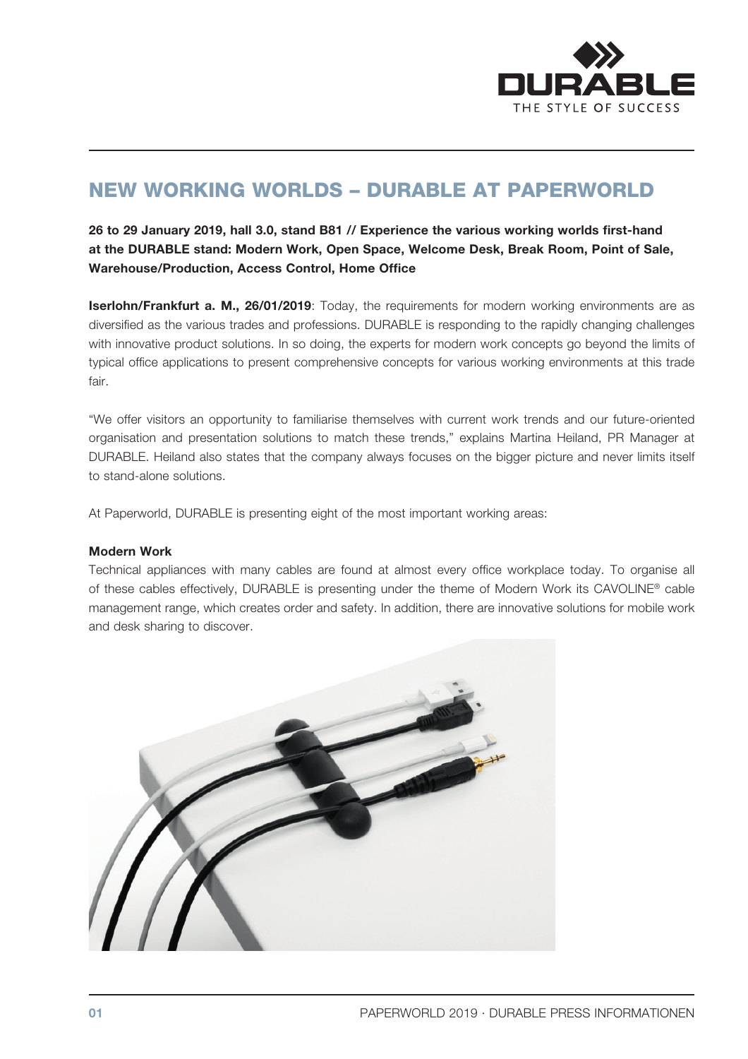

## NEW WORKING WORLDS – DURABLE AT PAPERWORLD

26 to 29 January 2019, hall 3.0, stand B81 // Experience the various working worlds first-hand at the DURABLE stand: Modern Work, Open Space, Welcome Desk, Break Room, Point of Sale, Warehouse/Production, Access Control, Home Office

Iserlohn/Frankfurt a. M., 26/01/2019: Today, the requirements for modern working environments are as diversified as the various trades and professions. DURABLE is responding to the rapidly changing challenges with innovative product solutions. In so doing, the experts for modern work concepts go beyond the limits of typical office applications to present comprehensive concepts for various working environments at this trade fair.

"We offer visitors an opportunity to familiarise themselves with current work trends and our future-oriented organisation and presentation solutions to match these trends," explains Martina Heiland, PR Manager at DURABLE. Heiland also states that the company always focuses on the bigger picture and never limits itself to stand-alone solutions.

At Paperworld, DURABLE is presenting eight of the most important working areas:

#### Modern Work

Technical appliances with many cables are found at almost every office workplace today. To organise all of these cables effectively, DURABLE is presenting under the theme of Modern Work its CAVOLINE® cable management range, which creates order and safety. In addition, there are innovative solutions for mobile work and desk sharing to discover.

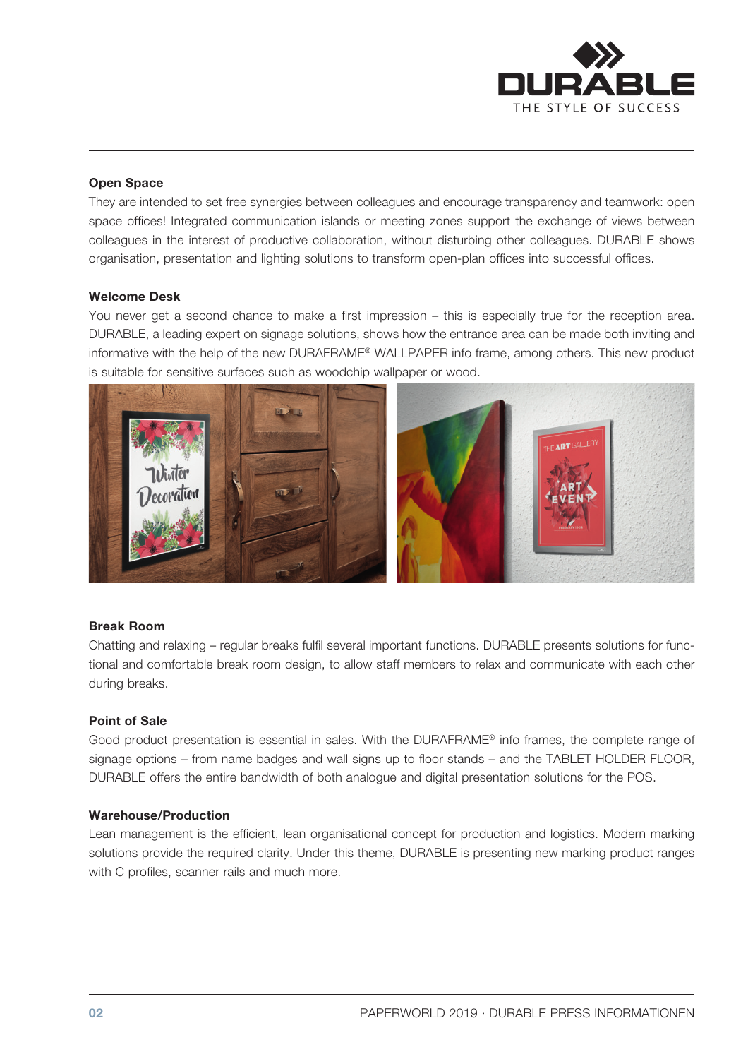

## Open Space

They are intended to set free synergies between colleagues and encourage transparency and teamwork: open space offices! Integrated communication islands or meeting zones support the exchange of views between colleagues in the interest of productive collaboration, without disturbing other colleagues. DURABLE shows organisation, presentation and lighting solutions to transform open-plan offices into successful offices.

## Welcome Desk

You never get a second chance to make a first impression – this is especially true for the reception area. DURABLE, a leading expert on signage solutions, shows how the entrance area can be made both inviting and informative with the help of the new DURAFRAME® WALLPAPER info frame, among others. This new product is suitable for sensitive surfaces such as woodchip wallpaper or wood.



#### Break Room

Chatting and relaxing – regular breaks fulfil several important functions. DURABLE presents solutions for functional and comfortable break room design, to allow staff members to relax and communicate with each other during breaks.

#### Point of Sale

Good product presentation is essential in sales. With the DURAFRAME® info frames, the complete range of signage options – from name badges and wall signs up to floor stands – and the TABLET HOLDER FLOOR, DURABLE offers the entire bandwidth of both analogue and digital presentation solutions for the POS.

#### Warehouse/Production

Lean management is the efficient, lean organisational concept for production and logistics. Modern marking solutions provide the required clarity. Under this theme, DURABLE is presenting new marking product ranges with C profiles, scanner rails and much more.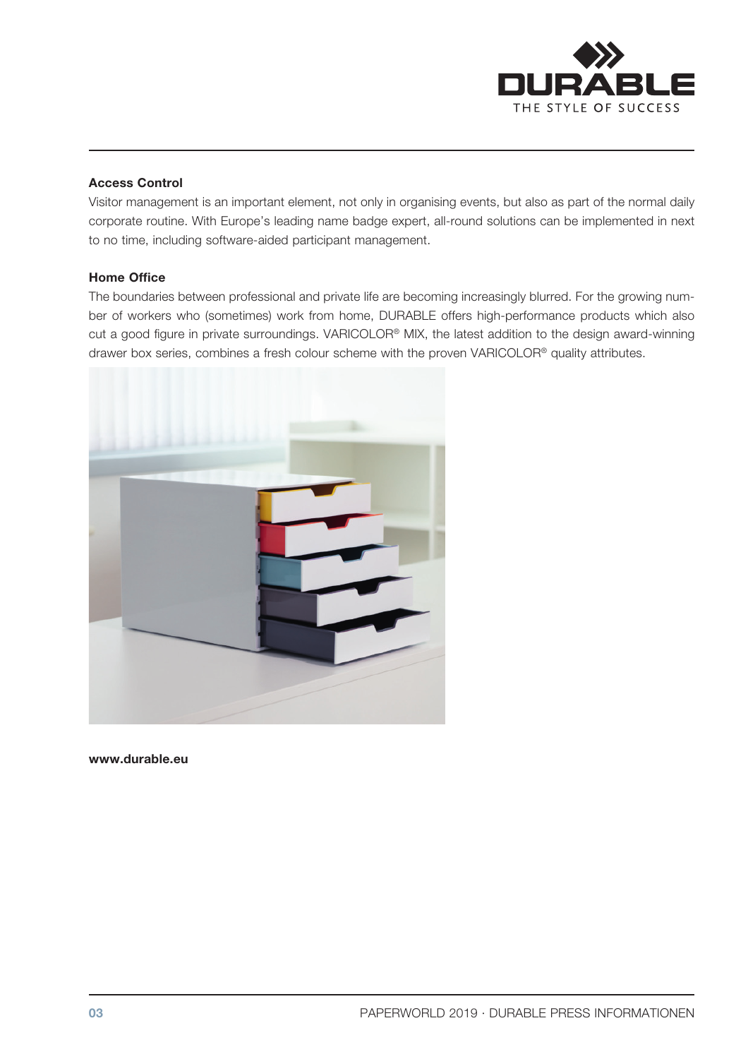

## Access Control

Visitor management is an important element, not only in organising events, but also as part of the normal daily corporate routine. With Europe's leading name badge expert, all-round solutions can be implemented in next to no time, including software-aided participant management.

## Home Office

The boundaries between professional and private life are becoming increasingly blurred. For the growing number of workers who (sometimes) work from home, DURABLE offers high-performance products which also cut a good figure in private surroundings. VARICOLOR® MIX, the latest addition to the design award-winning drawer box series, combines a fresh colour scheme with the proven VARICOLOR® quality attributes.



www.durable.eu